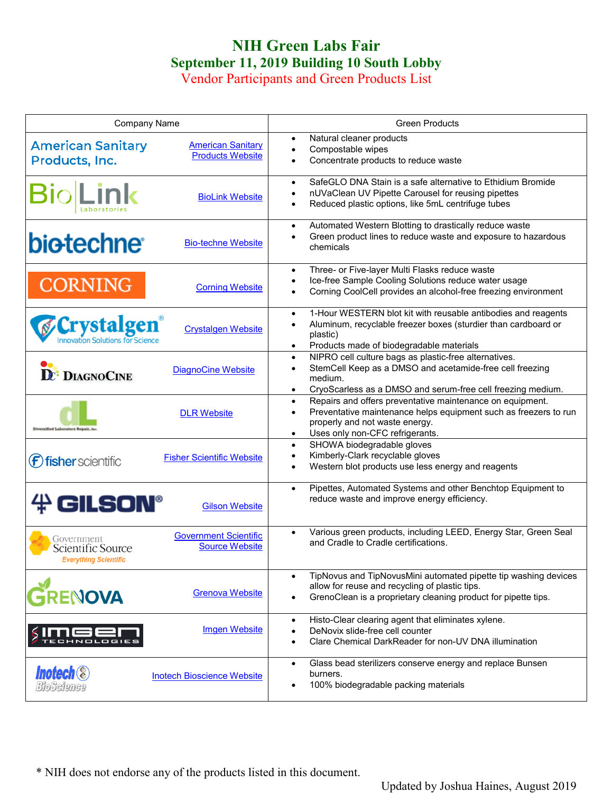## **NIH Green Labs Fair September 11, 2019 Building 10 South Lobby**

Vendor Participants and Green Products List

| <b>Company Name</b>                                             |                                                       | <b>Green Products</b>                                                                                                                                                                                                                     |
|-----------------------------------------------------------------|-------------------------------------------------------|-------------------------------------------------------------------------------------------------------------------------------------------------------------------------------------------------------------------------------------------|
| <b>American Sanitary</b><br>Products, Inc.                      | <b>American Sanitary</b><br><b>Products Website</b>   | Natural cleaner products<br>$\bullet$<br>Compostable wipes<br>$\bullet$<br>Concentrate products to reduce waste                                                                                                                           |
| <b>BiolLink</b>                                                 | <b>BioLink Website</b>                                | SafeGLO DNA Stain is a safe alternative to Ethidium Bromide<br>$\bullet$<br>nUVaClean UV Pipette Carousel for reusing pipettes<br>$\bullet$<br>Reduced plastic options, like 5mL centrifuge tubes<br>$\bullet$                            |
| <b>biotechne</b>                                                | <b>Bio-techne Website</b>                             | Automated Western Blotting to drastically reduce waste<br>$\bullet$<br>Green product lines to reduce waste and exposure to hazardous<br>$\bullet$<br>chemicals                                                                            |
| <b>CORNING</b>                                                  | <b>Corning Website</b>                                | Three- or Five-layer Multi Flasks reduce waste<br>$\bullet$<br>Ice-free Sample Cooling Solutions reduce water usage<br>$\bullet$<br>Corning CoolCell provides an alcohol-free freezing environment                                        |
| <b><i><u>Crystalgen</u></i></b>                                 | <b>Crystalgen Website</b>                             | 1-Hour WESTERN blot kit with reusable antibodies and reagents<br>$\bullet$<br>Aluminum, recyclable freezer boxes (sturdier than cardboard or<br>$\bullet$<br>plastic)<br>Products made of biodegradable materials<br>$\bullet$            |
| <b>DE: DIAGNOCINE</b>                                           | <b>DiagnoCine Website</b>                             | NIPRO cell culture bags as plastic-free alternatives.<br>$\bullet$<br>StemCell Keep as a DMSO and acetamide-free cell freezing<br>$\bullet$<br>medium.<br>CryoScarless as a DMSO and serum-free cell freezing medium.<br>$\bullet$        |
|                                                                 | <b>DLR Website</b>                                    | Repairs and offers preventative maintenance on equipment.<br>$\bullet$<br>Preventative maintenance helps equipment such as freezers to run<br>$\bullet$<br>properly and not waste energy.<br>Uses only non-CFC refrigerants.<br>$\bullet$ |
| ( <b>f)</b> fisher scientific                                   | <b>Fisher Scientific Website</b>                      | SHOWA biodegradable gloves<br>$\bullet$<br>Kimberly-Clark recyclable gloves<br>$\bullet$<br>Western blot products use less energy and reagents<br>$\bullet$                                                                               |
| $#$ GILSON®                                                     | <b>Gilson Website</b>                                 | Pipettes, Automated Systems and other Benchtop Equipment to<br>$\bullet$<br>reduce waste and improve energy efficiency.                                                                                                                   |
| Government<br>Scientific Source<br><b>Everything Scientific</b> | <b>Government Scientific</b><br><b>Source Website</b> | Various green products, including LEED, Energy Star, Green Seal<br>$\bullet$<br>and Cradle to Cradle certifications.                                                                                                                      |
| <b>ENOVA</b>                                                    | <b>Grenova Website</b>                                | TipNovus and TipNovusMini automated pipette tip washing devices<br>$\bullet$<br>allow for reuse and recycling of plastic tips.<br>GrenoClean is a proprietary cleaning product for pipette tips.<br>$\bullet$                             |
|                                                                 | <b>Imgen Website</b>                                  | Histo-Clear clearing agent that eliminates xylene.<br>$\bullet$<br>DeNovix slide-free cell counter<br>$\bullet$<br>Clare Chemical DarkReader for non-UV DNA illumination<br>$\bullet$                                                     |
| <b>Inotech ®</b><br>BioScience                                  | <b>Inotech Bioscience Website</b>                     | Glass bead sterilizers conserve energy and replace Bunsen<br>$\bullet$<br>burners.<br>100% biodegradable packing materials<br>$\bullet$                                                                                                   |

\* NIH does not endorse any of the products listed in this document.